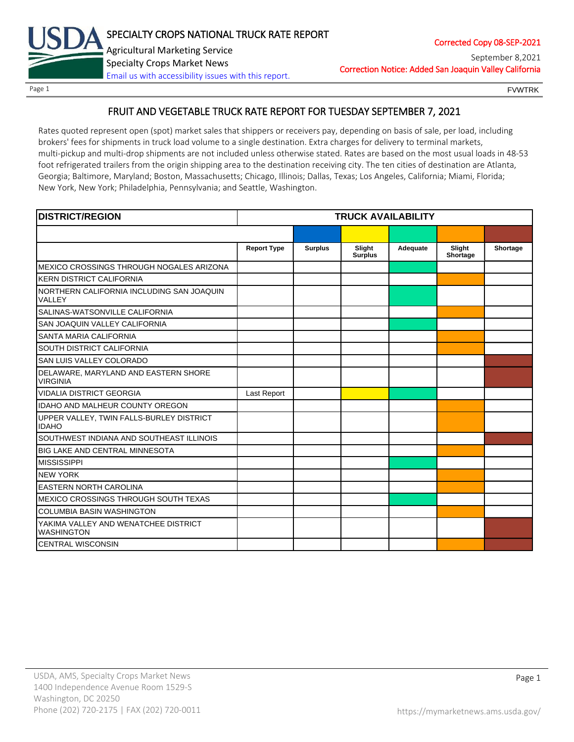

Page 1 **FOUL EXAMPLE 2008** FOUND FOUND FOUND FOUND FOUND FOUND FOUND FOUND FOUND FOUND FOUND FOUND FOUND FOUND FOUND FOUND FOUND FOUND FOUND FOUND FOUND FOUND FOUND FOUND FOUND FOUND FOUND FOUND FOUND FOUND FOUND FOUND FOU

# FRUIT AND VEGETABLE TRUCK RATE REPORT FOR TUESDAY SEPTEMBER 7, 2021

Rates quoted represent open (spot) market sales that shippers or receivers pay, depending on basis of sale, per load, including brokers' fees for shipments in truck load volume to a single destination. Extra charges for delivery to terminal markets, multi-pickup and multi-drop shipments are not included unless otherwise stated. Rates are based on the most usual loads in 48-53 foot refrigerated trailers from the origin shipping area to the destination receiving city. The ten cities of destination are Atlanta, Georgia; Baltimore, Maryland; Boston, Massachusetts; Chicago, Illinois; Dallas, Texas; Los Angeles, California; Miami, Florida; New York, New York; Philadelphia, Pennsylvania; and Seattle, Washington.

| <b>DISTRICT/REGION</b><br><b>TRUCK AVAILABILITY</b>       |                    |                |                          |          |                    |          |
|-----------------------------------------------------------|--------------------|----------------|--------------------------|----------|--------------------|----------|
|                                                           |                    |                |                          |          |                    |          |
|                                                           | <b>Report Type</b> | <b>Surplus</b> | Slight<br><b>Surplus</b> | Adequate | Slight<br>Shortage | Shortage |
| MEXICO CROSSINGS THROUGH NOGALES ARIZONA                  |                    |                |                          |          |                    |          |
| <b>KERN DISTRICT CALIFORNIA</b>                           |                    |                |                          |          |                    |          |
| NORTHERN CALIFORNIA INCLUDING SAN JOAQUIN<br>VALLEY       |                    |                |                          |          |                    |          |
| SALINAS-WATSONVILLE CALIFORNIA                            |                    |                |                          |          |                    |          |
| SAN JOAQUIN VALLEY CALIFORNIA                             |                    |                |                          |          |                    |          |
| SANTA MARIA CALIFORNIA                                    |                    |                |                          |          |                    |          |
| SOUTH DISTRICT CALIFORNIA                                 |                    |                |                          |          |                    |          |
| SAN LUIS VALLEY COLORADO                                  |                    |                |                          |          |                    |          |
| DELAWARE, MARYLAND AND EASTERN SHORE<br><b>VIRGINIA</b>   |                    |                |                          |          |                    |          |
| <b>VIDALIA DISTRICT GEORGIA</b>                           | Last Report        |                |                          |          |                    |          |
| <b>IDAHO AND MALHEUR COUNTY OREGON</b>                    |                    |                |                          |          |                    |          |
| UPPER VALLEY, TWIN FALLS-BURLEY DISTRICT<br><b>IDAHO</b>  |                    |                |                          |          |                    |          |
| SOUTHWEST INDIANA AND SOUTHEAST ILLINOIS                  |                    |                |                          |          |                    |          |
| <b>BIG LAKE AND CENTRAL MINNESOTA</b>                     |                    |                |                          |          |                    |          |
| <b>MISSISSIPPI</b>                                        |                    |                |                          |          |                    |          |
| <b>NEW YORK</b>                                           |                    |                |                          |          |                    |          |
| <b>EASTERN NORTH CAROLINA</b>                             |                    |                |                          |          |                    |          |
| MEXICO CROSSINGS THROUGH SOUTH TEXAS                      |                    |                |                          |          |                    |          |
| <b>COLUMBIA BASIN WASHINGTON</b>                          |                    |                |                          |          |                    |          |
| YAKIMA VALLEY AND WENATCHEE DISTRICT<br><b>WASHINGTON</b> |                    |                |                          |          |                    |          |
| <b>CENTRAL WISCONSIN</b>                                  |                    |                |                          |          |                    |          |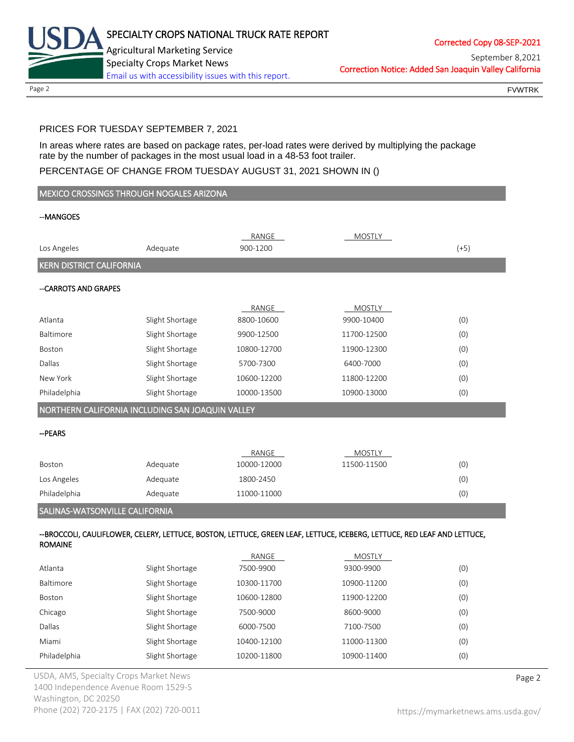

Page 2 FOUNTRK CONTROL CONTROL CONTROL CONTROL CONTROL CONTROL CONTROL CONTROL CONTROL CONTROL CONTROL CONTROL CONTROL CONTROL CONTROL CONTROL CONTROL CONTROL CONTROL CONTROL CONTROL CONTROL CONTROL CONTROL CONTROL CONTROL

# PRICES FOR TUESDAY SEPTEMBER 7, 2021

In areas where rates are based on package rates, per-load rates were derived by multiplying the package rate by the number of packages in the most usual load in a 48-53 foot trailer.

## PERCENTAGE OF CHANGE FROM TUESDAY AUGUST 31, 2021 SHOWN IN ()

| MEXICO CROSSINGS THROUGH NOGALES ARIZONA         |                 |                   |                                                                                                                         |        |  |
|--------------------------------------------------|-----------------|-------------------|-------------------------------------------------------------------------------------------------------------------------|--------|--|
| --MANGOES                                        |                 |                   |                                                                                                                         |        |  |
|                                                  |                 |                   |                                                                                                                         |        |  |
| Los Angeles                                      | Adequate        | RANGE<br>900-1200 | <b>MOSTLY</b>                                                                                                           | $(+5)$ |  |
| <b>KERN DISTRICT CALIFORNIA</b>                  |                 |                   |                                                                                                                         |        |  |
|                                                  |                 |                   |                                                                                                                         |        |  |
| --CARROTS AND GRAPES                             |                 |                   |                                                                                                                         |        |  |
|                                                  |                 | RANGE             | <b>MOSTLY</b>                                                                                                           |        |  |
| Atlanta                                          | Slight Shortage | 8800-10600        | 9900-10400                                                                                                              | (0)    |  |
| Baltimore                                        | Slight Shortage | 9900-12500        | 11700-12500                                                                                                             | (0)    |  |
| Boston                                           | Slight Shortage | 10800-12700       | 11900-12300                                                                                                             | (0)    |  |
| Dallas                                           | Slight Shortage | 5700-7300         | 6400-7000                                                                                                               | (0)    |  |
| New York                                         | Slight Shortage | 10600-12200       | 11800-12200                                                                                                             | (0)    |  |
| Philadelphia                                     | Slight Shortage | 10000-13500       | 10900-13000                                                                                                             | (0)    |  |
| NORTHERN CALIFORNIA INCLUDING SAN JOAQUIN VALLEY |                 |                   |                                                                                                                         |        |  |
| -- PEARS                                         |                 |                   |                                                                                                                         |        |  |
|                                                  |                 |                   |                                                                                                                         |        |  |
|                                                  |                 | RANGE             | <b>MOSTLY</b>                                                                                                           |        |  |
| Boston                                           | Adequate        | 10000-12000       | 11500-11500                                                                                                             | (0)    |  |
| Los Angeles                                      | Adequate        | 1800-2450         |                                                                                                                         | (0)    |  |
| Philadelphia                                     | Adequate        | 11000-11000       |                                                                                                                         | (0)    |  |
| SALINAS-WATSONVILLE CALIFORNIA                   |                 |                   |                                                                                                                         |        |  |
|                                                  |                 |                   | --BROCCOLI, CAULIFLOWER, CELERY, LETTUCE, BOSTON, LETTUCE, GREEN LEAF, LETTUCE, ICEBERG, LETTUCE, RED LEAF AND LETTUCE, |        |  |
| <b>ROMAINE</b>                                   |                 |                   |                                                                                                                         |        |  |
|                                                  |                 | RANGE             | <b>MOSTLY</b>                                                                                                           |        |  |
| Atlanta                                          | Slight Shortage | 7500-9900         | 9300-9900                                                                                                               | (0)    |  |
| Baltimore                                        | Slight Shortage | 10300-11700       | 10900-11200                                                                                                             | (0)    |  |
| Boston                                           | Slight Shortage | 10600-12800       | 11900-12200                                                                                                             | (0)    |  |
| Chicago                                          | Slight Shortage | 7500-9000         | 8600-9000                                                                                                               | (0)    |  |
| Dallas                                           | Slight Shortage | 6000-7500         | 7100-7500                                                                                                               | (0)    |  |

Miami Slight Shortage 10400-12100 11000-11300 (0) Philadelphia Slight Shortage 10200-11800 10900-11400 (0)

USDA, AMS, Specialty Crops Market News **Page 2** 1400 Independence Avenue Room 1529-S Washington, DC 20250 Phone (202) 720-2175 | FAX (202) 720-0011 <https://mymarketnews.ams.usda.gov/>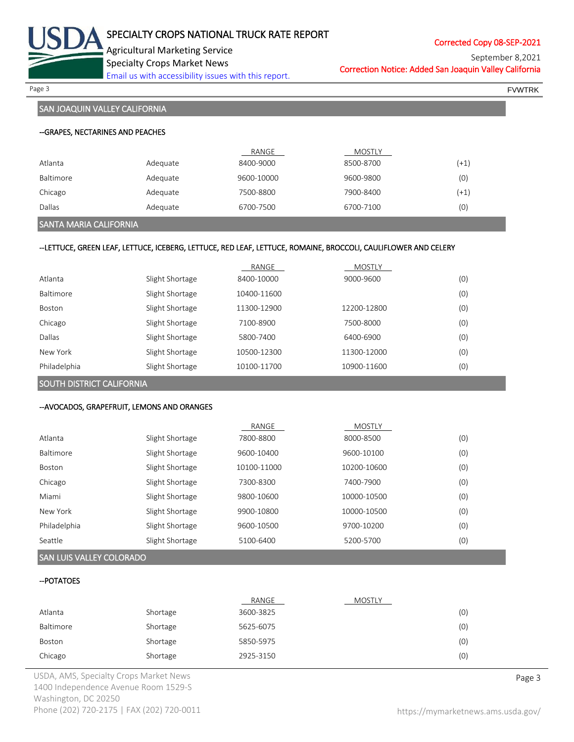

Corrected Copy 08-SEP-2021

Correction Notice: Added San Joaquin Valley California September 8,2021

Page 3 FOR THE SERVER CONTROL CONTROL CONTROL CONTROL CONTROL CONTROL CONTROL CONTROL CONTROL CONTROL CONTROL CONTROL CONTROL CONTROL CONTROL CONTROL CONTROL CONTROL CONTROL CONTROL CONTROL CONTROL CONTROL CONTROL CONTROL

# SAN JOAQUIN VALLEY CALIFORNIA

|           |          | RANGE      | MOSTLY    |        |
|-----------|----------|------------|-----------|--------|
| Atlanta   | Adequate | 8400-9000  | 8500-8700 | $(+1)$ |
| Baltimore | Adequate | 9600-10000 | 9600-9800 | (0)    |
| Chicago   | Adequate | 7500-8800  | 7900-8400 | $(+1)$ |
| Dallas    | Adequate | 6700-7500  | 6700-7100 | (0)    |

#### SANTA MARIA CALIFORNIA

#### --LETTUCE, GREEN LEAF, LETTUCE, ICEBERG, LETTUCE, RED LEAF, LETTUCE, ROMAINE, BROCCOLI, CAULIFLOWER AND CELERY

|               |                 | RANGE       | <b>MOSTLY</b> |     |
|---------------|-----------------|-------------|---------------|-----|
| Atlanta       | Slight Shortage | 8400-10000  | 9000-9600     | (0) |
| Baltimore     | Slight Shortage | 10400-11600 |               | (0) |
| <b>Boston</b> | Slight Shortage | 11300-12900 | 12200-12800   | (0) |
| Chicago       | Slight Shortage | 7100-8900   | 7500-8000     | (0) |
| Dallas        | Slight Shortage | 5800-7400   | 6400-6900     | (0) |
| New York      | Slight Shortage | 10500-12300 | 11300-12000   | (0) |
| Philadelphia  | Slight Shortage | 10100-11700 | 10900-11600   | (0) |

SOUTH DISTRICT CALIFORNIA

### --AVOCADOS, GRAPEFRUIT, LEMONS AND ORANGES

|               |                 | RANGE       | <b>MOSTLY</b> |     |
|---------------|-----------------|-------------|---------------|-----|
| Atlanta       | Slight Shortage | 7800-8800   | 8000-8500     | (0) |
| Baltimore     | Slight Shortage | 9600-10400  | 9600-10100    | (0) |
| <b>Boston</b> | Slight Shortage | 10100-11000 | 10200-10600   | (0) |
| Chicago       | Slight Shortage | 7300-8300   | 7400-7900     | (0) |
| Miami         | Slight Shortage | 9800-10600  | 10000-10500   | (0) |
| New York      | Slight Shortage | 9900-10800  | 10000-10500   | (0) |
| Philadelphia  | Slight Shortage | 9600-10500  | 9700-10200    | (0) |
| Seattle       | Slight Shortage | 5100-6400   | 5200-5700     | (0) |

# SAN LUIS VALLEY COLORADO

#### --POTATOES

|           |          | RANGE     | <b>MOSTLY</b> |     |
|-----------|----------|-----------|---------------|-----|
| Atlanta   | Shortage | 3600-3825 |               | (0) |
| Baltimore | Shortage | 5625-6075 |               | (0) |
| Boston    | Shortage | 5850-5975 |               | (0) |
| Chicago   | Shortage | 2925-3150 |               | (0) |

USDA, AMS, Specialty Crops Market News **Page 3** 1400 Independence Avenue Room 1529-S Washington, DC 20250 Phone (202) 720-2175 | FAX (202) 720-0011 <https://mymarketnews.ams.usda.gov/>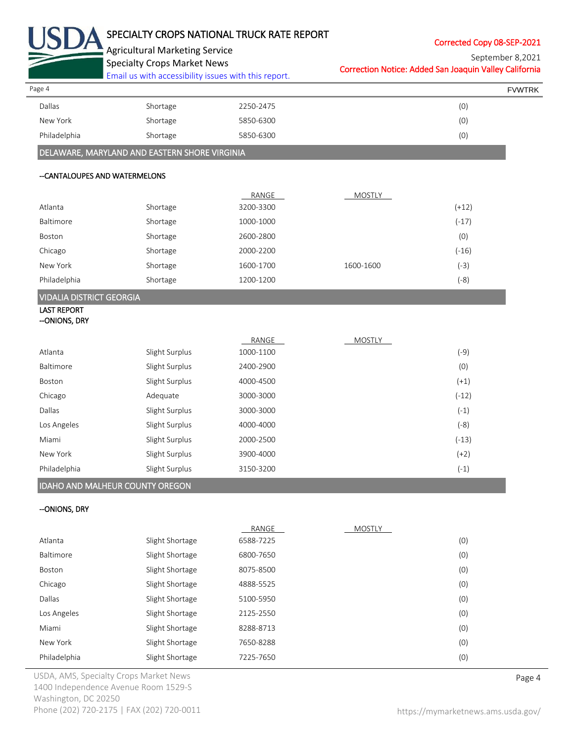

# SPECIALTY CROPS NATIONAL TRUCK RATE REPORT

Corrected Copy 08-SEP-2021

|   |  | <b>Agricultural Marketing Service</b> |  |
|---|--|---------------------------------------|--|
| - |  |                                       |  |

Specialty Crops Market News

[Email us with accessibility issues with this report.](mailto:mars@ams.usda.gov?subject=508%20Inquiry/Report)

Correction Notice: Added San Joaquin Valley California September 8,2021

| Page 4       |          |           | <b>FVWTRK</b> |
|--------------|----------|-----------|---------------|
| Dallas       | Shortage | 2250-2475 | (0)           |
| New York     | Shortage | 5850-6300 | (0)           |
| Philadelphia | Shortage | 5850-6300 | (0)           |
|              |          |           |               |

# DELAWARE, MARYLAND AND EASTERN SHORE VIRGINIA

#### --CANTALOUPES AND WATERMELONS

|              |          | RANGE     | MOSTLY    |         |
|--------------|----------|-----------|-----------|---------|
| Atlanta      | Shortage | 3200-3300 |           | $(+12)$ |
| Baltimore    | Shortage | 1000-1000 |           | $(-17)$ |
| Boston       | Shortage | 2600-2800 |           | (0)     |
| Chicago      | Shortage | 2000-2200 |           | $(-16)$ |
| New York     | Shortage | 1600-1700 | 1600-1600 | (-3)    |
| Philadelphia | Shortage | 1200-1200 |           | (-8)    |

# VIDALIA DISTRICT GEORGIA

#### LAST REPORT --ONIONS, DRY

|              |                | RANGE     | <b>MOSTLY</b> |         |
|--------------|----------------|-----------|---------------|---------|
| Atlanta      | Slight Surplus | 1000-1100 |               | (-9)    |
| Baltimore    | Slight Surplus | 2400-2900 |               | (0)     |
| Boston       | Slight Surplus | 4000-4500 |               | $(+1)$  |
| Chicago      | Adequate       | 3000-3000 |               | $(-12)$ |
| Dallas       | Slight Surplus | 3000-3000 |               | $(-1)$  |
| Los Angeles  | Slight Surplus | 4000-4000 |               | $(-8)$  |
| Miami        | Slight Surplus | 2000-2500 |               | $(-13)$ |
| New York     | Slight Surplus | 3900-4000 |               | $(+2)$  |
| Philadelphia | Slight Surplus | 3150-3200 |               | $(-1)$  |

# IDAHO AND MALHEUR COUNTY OREGON

#### --ONIONS, DRY

|              |                 | RANGE     | <b>MOSTLY</b> |     |
|--------------|-----------------|-----------|---------------|-----|
| Atlanta      | Slight Shortage | 6588-7225 |               | (0) |
| Baltimore    | Slight Shortage | 6800-7650 |               | (0) |
| Boston       | Slight Shortage | 8075-8500 |               | (0) |
| Chicago      | Slight Shortage | 4888-5525 |               | (0) |
| Dallas       | Slight Shortage | 5100-5950 |               | (0) |
| Los Angeles  | Slight Shortage | 2125-2550 |               | (0) |
| Miami        | Slight Shortage | 8288-8713 |               | (0) |
| New York     | Slight Shortage | 7650-8288 |               | (0) |
| Philadelphia | Slight Shortage | 7225-7650 |               | (0) |

USDA, AMS, Specialty Crops Market News **Page 4** 1400 Independence Avenue Room 1529-S Washington, DC 20250 Phone (202) 720-2175 | FAX (202) 720-0011 <https://mymarketnews.ams.usda.gov/>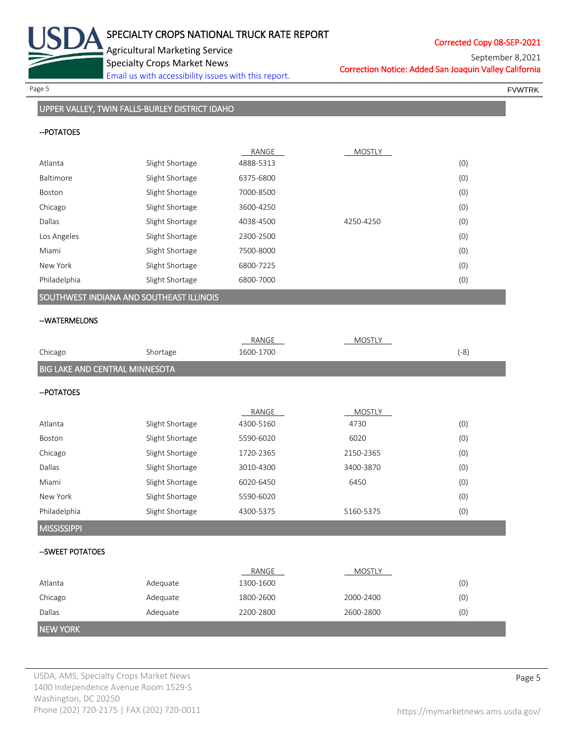

Page 5 FOUNTRK And the set of the set of the set of the set of the set of the set of the set of the set of the set of the set of the set of the set of the set of the set of the set of the set of the set of the set of the s

# UPPER VALLEY, TWIN FALLS-BURLEY DISTRICT IDAHO

### --POTATOES

|              |                 | RANGE     | <b>MOSTLY</b> |     |
|--------------|-----------------|-----------|---------------|-----|
| Atlanta      | Slight Shortage | 4888-5313 |               | (0) |
| Baltimore    | Slight Shortage | 6375-6800 |               | (0) |
| Boston       | Slight Shortage | 7000-8500 |               | (0) |
| Chicago      | Slight Shortage | 3600-4250 |               | (0) |
| Dallas       | Slight Shortage | 4038-4500 | 4250-4250     | (0) |
| Los Angeles  | Slight Shortage | 2300-2500 |               | (0) |
| Miami        | Slight Shortage | 7500-8000 |               | (0) |
| New York     | Slight Shortage | 6800-7225 |               | (0) |
| Philadelphia | Slight Shortage | 6800-7000 |               | (0) |

# SOUTHWEST INDIANA AND SOUTHEAST ILLINOIS

#### --WATERMELONS

|                                |                 | RANGE     | <b>MOSTLY</b> |        |
|--------------------------------|-----------------|-----------|---------------|--------|
| Chicago                        | Shortage        | 1600-1700 |               | $(-8)$ |
| BIG LAKE AND CENTRAL MINNESOTA |                 |           |               |        |
| -- POTATOES                    |                 |           |               |        |
|                                |                 | RANGE     | <b>MOSTLY</b> |        |
| Atlanta                        | Slight Shortage | 4300-5160 | 4730          | (0)    |
| Boston                         | Slight Shortage | 5590-6020 | 6020          | (0)    |
| Chicago                        | Slight Shortage | 1720-2365 | 2150-2365     | (0)    |
| Dallas                         | Slight Shortage | 3010-4300 | 3400-3870     | (0)    |
| Miami                          | Slight Shortage | 6020-6450 | 6450          | (0)    |
| New York                       | Slight Shortage | 5590-6020 |               | (0)    |
| Philadelphia                   | Slight Shortage | 4300-5375 | 5160-5375     | (0)    |
| <b>MISSISSIPPI</b>             |                 |           |               |        |
| --SWEET POTATOES               |                 |           |               |        |
|                                |                 | RANGE     | <b>MOSTLY</b> |        |
| Atlanta                        | Adequate        | 1300-1600 |               | (0)    |
| Chicago                        | Adequate        | 1800-2600 | 2000-2400     | (0)    |
| Dallas                         | Adequate        | 2200-2800 | 2600-2800     | (0)    |
| <b>NEW YORK</b>                |                 |           |               |        |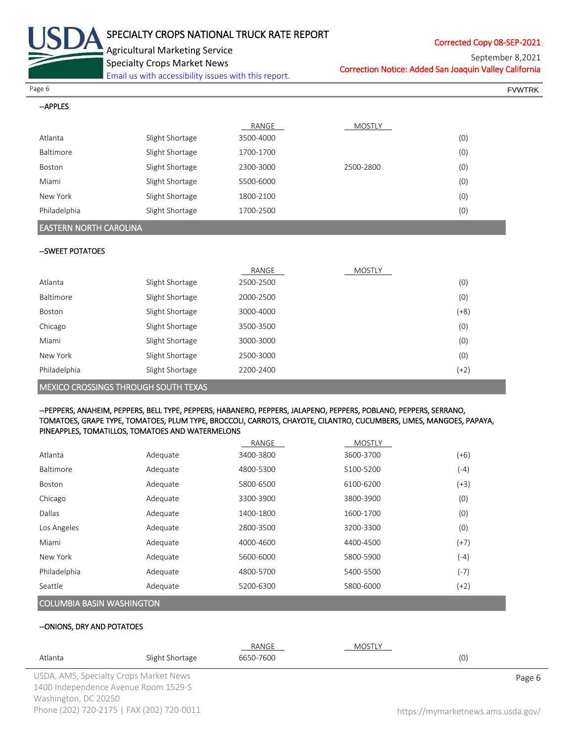

# SPECIALTY CROPS NATIONAL TRUCK RATE REPORT

Corrected Copy 08-SEP-2021

Agricultural Marketing Service

Specialty Crops Market News

[Email us with accessibility issues with this report.](mailto:mars@ams.usda.gov?subject=508%20Inquiry/Report)

Correction Notice: Added San Joaquin Valley California September 8,2021

Page 6 FVWTRK

#### --APPLES

|              |                 | RANGE     | <b>MOSTLY</b> |     |
|--------------|-----------------|-----------|---------------|-----|
| Atlanta      | Slight Shortage | 3500-4000 |               | (0) |
| Baltimore    | Slight Shortage | 1700-1700 |               | (0) |
| Boston       | Slight Shortage | 2300-3000 | 2500-2800     | (0) |
| Miami        | Slight Shortage | 5500-6000 |               | (0) |
| New York     | Slight Shortage | 1800-2100 |               | (0) |
| Philadelphia | Slight Shortage | 1700-2500 |               | (0) |

## EASTERN NORTH CAROLINA

#### --SWEET POTATOES

|                                             |                 | RANGE     | <b>MOSTLY</b> |        |
|---------------------------------------------|-----------------|-----------|---------------|--------|
| Atlanta                                     | Slight Shortage | 2500-2500 |               | (0)    |
| Baltimore                                   | Slight Shortage | 2000-2500 |               | (0)    |
| Boston                                      | Slight Shortage | 3000-4000 |               | $(+8)$ |
| Chicago                                     | Slight Shortage | 3500-3500 |               | (0)    |
| Miami                                       | Slight Shortage | 3000-3000 |               | (0)    |
| New York                                    | Slight Shortage | 2500-3000 |               | (0)    |
| Philadelphia                                | Slight Shortage | 2200-2400 |               | (+2)   |
| <b>MEXICO CROSSINGS THROUGH SOUTH TEXAS</b> |                 |           |               |        |

#### --PEPPERS, ANAHEIM, PEPPERS, BELL TYPE, PEPPERS, HABANERO, PEPPERS, JALAPENO, PEPPERS, POBLANO, PEPPERS, SERRANO, TOMATOES, GRAPE TYPE, TOMATOES, PLUM TYPE, BROCCOLI, CARROTS, CHAYOTE, CILANTRO, CUCUMBERS, LIMES, MANGOES, PAPAYA, PINEAPPLES, TOMATILLOS, TOMATOES AND WATERMELONS

|               |          | RANGE     | <b>MOSTLY</b> |        |
|---------------|----------|-----------|---------------|--------|
| Atlanta       | Adequate | 3400-3800 | 3600-3700     | (+6)   |
| Baltimore     | Adequate | 4800-5300 | 5100-5200     | (-4)   |
| <b>Boston</b> | Adequate | 5800-6500 | 6100-6200     | $(+3)$ |
| Chicago       | Adequate | 3300-3900 | 3800-3900     | (0)    |
| Dallas        | Adequate | 1400-1800 | 1600-1700     | (0)    |
| Los Angeles   | Adequate | 2800-3500 | 3200-3300     | (0)    |
| Miami         | Adequate | 4000-4600 | 4400-4500     | $(+7)$ |
| New York      | Adequate | 5600-6000 | 5800-5900     | $(-4)$ |
| Philadelphia  | Adequate | 4800-5700 | 5400-5500     | $(-7)$ |
| Seattle       | Adequate | 5200-6300 | 5800-6000     | (+2)   |
|               |          |           |               |        |

# COLUMBIA BASIN WASHINGTON

#### --ONIONS, DRY AND POTATOES

|                      |                                           | RANGE     | MOSTLY |                                    |
|----------------------|-------------------------------------------|-----------|--------|------------------------------------|
| Atlanta              | Slight Shortage                           | 6650-7600 |        | (0)                                |
|                      | USDA, AMS, Specialty Crops Market News    |           |        | Page 6                             |
|                      | 1400 Independence Avenue Room 1529-S      |           |        |                                    |
| Washington, DC 20250 |                                           |           |        |                                    |
|                      | Phone (202) 720-2175   FAX (202) 720-0011 |           |        | https://mymarketnews.ams.usda.gov/ |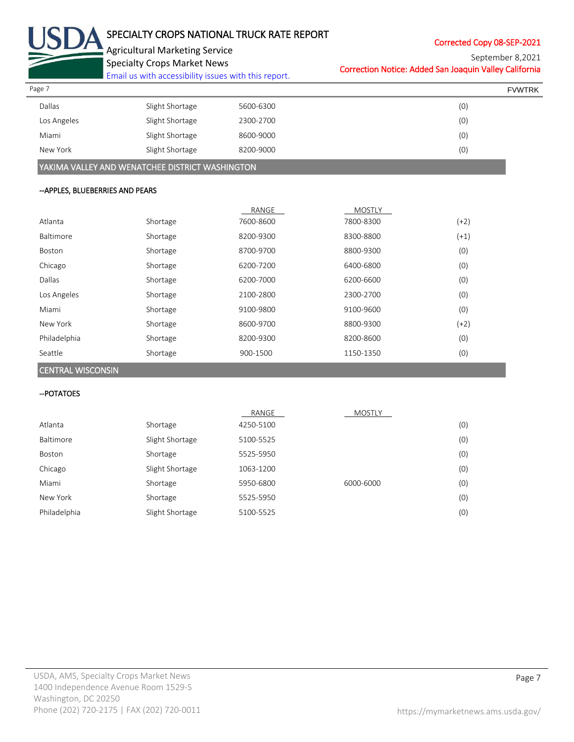

# SPECIALTY CROPS NATIONAL TRUCK RATE REPORT

Corrected Copy 08-SEP-2021

Agricultural Marketing Service Specialty Crops Market News

[Email us with accessibility issues with this report.](mailto:mars@ams.usda.gov?subject=508%20Inquiry/Report)

Correction Notice: Added San Joaquin Valley California September 8,2021

| Page 7      |                 |           | <b>FVWTRK</b> |
|-------------|-----------------|-----------|---------------|
| Dallas      | Slight Shortage | 5600-6300 | (0)           |
| Los Angeles | Slight Shortage | 2300-2700 | (0)           |
| Miami       | Slight Shortage | 8600-9000 | (0)           |
| New York    | Slight Shortage | 8200-9000 | (0)           |

YAKIMA VALLEY AND WENATCHEE DISTRICT WASHINGTON

#### --APPLES, BLUEBERRIES AND PEARS

|              |          | RANGE     | <b>MOSTLY</b> |        |
|--------------|----------|-----------|---------------|--------|
| Atlanta      | Shortage | 7600-8600 | 7800-8300     | $(+2)$ |
| Baltimore    | Shortage | 8200-9300 | 8300-8800     | $(+1)$ |
| Boston       | Shortage | 8700-9700 | 8800-9300     | (0)    |
| Chicago      | Shortage | 6200-7200 | 6400-6800     | (0)    |
| Dallas       | Shortage | 6200-7000 | 6200-6600     | (0)    |
| Los Angeles  | Shortage | 2100-2800 | 2300-2700     | (0)    |
| Miami        | Shortage | 9100-9800 | 9100-9600     | (0)    |
| New York     | Shortage | 8600-9700 | 8800-9300     | $(+2)$ |
| Philadelphia | Shortage | 8200-9300 | 8200-8600     | (0)    |
| Seattle      | Shortage | 900-1500  | 1150-1350     | (0)    |

### CENTRAL WISCONSIN

#### --POTATOES

|              |                 | RANGE     | <b>MOSTLY</b> |     |
|--------------|-----------------|-----------|---------------|-----|
| Atlanta      | Shortage        | 4250-5100 |               | (0) |
| Baltimore    | Slight Shortage | 5100-5525 |               | (0) |
| Boston       | Shortage        | 5525-5950 |               | (0) |
| Chicago      | Slight Shortage | 1063-1200 |               | (0) |
| Miami        | Shortage        | 5950-6800 | 6000-6000     | (0) |
| New York     | Shortage        | 5525-5950 |               | (0) |
| Philadelphia | Slight Shortage | 5100-5525 |               | (0) |